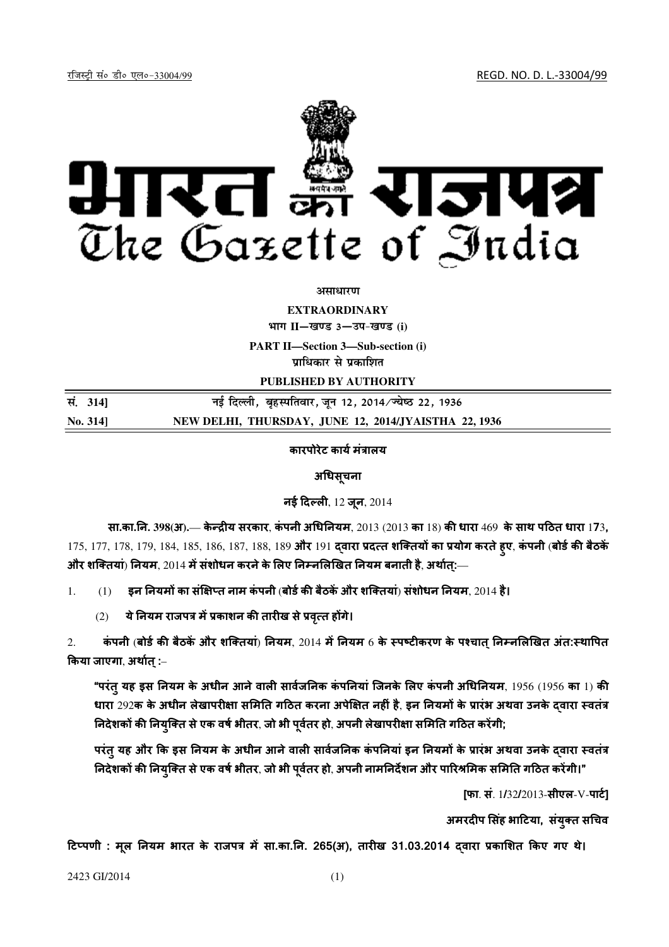jftLVªh laö Mhö ,yö&33004@99 REGD. NO. D. L.-33004/99



असाधार**ण** 

**EXTRAORDINARY**

**Hkkx II**—**[k.M 3**—**mi&[k.M (i)**

**PART II—Section 3—Sub-section (i) un**धिकार से प्रकाशित

**PUBLISHED BY AUTHORITY**

**la- <sup>314</sup>**] **ubZ fnYyh] c`gLifrokj] twu 12] 2014@T;s"B 22] 1936 No. 314] NEW DELHI, THURSDAY, JUNE 12, 2014/JYAISTHA 22, 1936**

## कारपोरेट कार्य मंत्रालय

अधिसूचना

नई दिल्ली,  $12$  जुन,  $2014$ 

सा**.**का**.**न**. 398(**अ**).**— के य सरकार, कं पनी अधनयम, 2013 (2013 का 18) क धारा 469 के साथ पठत धारा 173, 175, 177, 178, 179, 184, 185, 186, 187, 188, 189 और 191 दवारा प्रदत्त शक्तियों का प्रयोग करते हुए, कंपनी (बोर्ड की बैठकें और शक्तियां) नियम, 2014 में संशोधन करने के लिए निम्नलिखित नियम बनाती है, अर्थात:—

 $1.$  (1) इन नियमों का संक्षिप्त नाम कंपनी (बोर्ड की बैठकें और शक्तियां) संशोधन नियम, 2014 है।

 $(2)$  ये नियम राजपत्र में प्रकाशन की तारीख से प्रवृत्त होंगे।

2. कंपनी (बोर्ड की बैठकें और शक्तियां) नियम, 2014 में नियम 6 के स्पष्टीकरण के पश्चात निम्नलिखित अंत:स्थापित किया जाएगा, अर्थात् :–

"परंतु यह इस नियम के अधीन आने वाली सार्वजनिक कंपनियां जिनके लिए कंपनी अधिनियम, 1956 (1956 का 1) की धारा 292क के अधीन लेखापरीक्षा समिति गठित करना अपेक्षित नहीं है, इन नियमों के प्रारंभ अथवा उनके दवारा स्वतंत्र निदेशकों की नियुक्ति से एक वर्ष भीतर, जो भी पूर्वतर हो, अपनी लेखापरीक्षा समिति गठित करेंगी;

परंतु यह और कि इस नियम के अधीन आने वाली सार्वजनिक कंपनियां इन नियमों के प्रारंभ अथवा उनके दवारा स्वतंत्र निदेशकों की नियुक्ति से एक वर्ष भीतर, जो भी पूर्वतर हो, अपनी नामनिर्देशन और पारिश्रमिक समिति गठित करेंगी।"

[फा. सं.  $1/32/2013$ -सीएल-V-पार्ट]

अमरदीप सिंह भाटिया, संयुक्त सचिव

टिप्पणी : मूल नियम भारत के राजपत्र में सा.का.नि. 265(अ), तारीख 31.03.2014 दवारा प्रकाशित किए गए थे।

2423 GI/2014 (1)